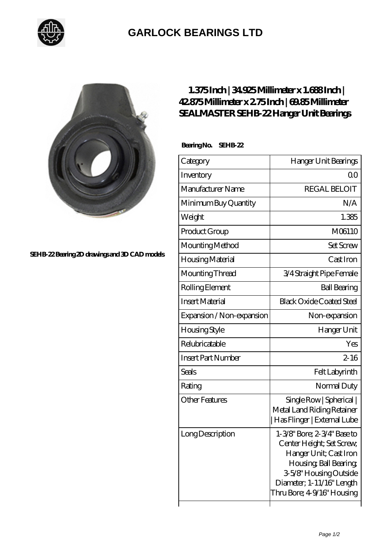

## **[GARLOCK BEARINGS LTD](https://m.letterstopriests.com)**



**[SEHB-22 Bearing 2D drawings and 3D CAD models](https://m.letterstopriests.com/pic-188965.html)**

## **[1.375 Inch | 34.925 Millimeter x 1.688 Inch |](https://m.letterstopriests.com/bj-188965-sealmaster-sehb-22-hanger-unit-bearings.html) [42.875 Millimeter x 2.75 Inch | 69.85 Millimeter](https://m.letterstopriests.com/bj-188965-sealmaster-sehb-22-hanger-unit-bearings.html) [SEALMASTER SEHB-22 Hanger Unit Bearings](https://m.letterstopriests.com/bj-188965-sealmaster-sehb-22-hanger-unit-bearings.html)**

 **Bearing No. SEHB-22**

| Category                  | Hanger Unit Bearings                                                                                                                                                                              |
|---------------------------|---------------------------------------------------------------------------------------------------------------------------------------------------------------------------------------------------|
| Inventory                 | QΟ                                                                                                                                                                                                |
| Manufacturer Name         | <b>REGAL BELOIT</b>                                                                                                                                                                               |
| Minimum Buy Quantity      | N/A                                                                                                                                                                                               |
| Weight                    | 1.385                                                                                                                                                                                             |
| Product Group             | M06110                                                                                                                                                                                            |
| Mounting Method           | <b>Set Screw</b>                                                                                                                                                                                  |
| Housing Material          | Cast Iron                                                                                                                                                                                         |
| Mounting Thread           | 3/4 Straight Pipe Female                                                                                                                                                                          |
| Rolling Element           | <b>Ball Bearing</b>                                                                                                                                                                               |
| <b>Insert Material</b>    | <b>Black Oxide Coated Steel</b>                                                                                                                                                                   |
| Expansion / Non-expansion | Non-expansion                                                                                                                                                                                     |
| Housing Style             | Hanger Unit                                                                                                                                                                                       |
| Relubricatable            | Yes                                                                                                                                                                                               |
| <b>Insert Part Number</b> | $2 - 16$                                                                                                                                                                                          |
| <b>Seals</b>              | Felt Labyrinth                                                                                                                                                                                    |
| Rating                    | Normal Duty                                                                                                                                                                                       |
| <b>Other Features</b>     | Single Row   Spherical  <br>Metal Land Riding Retainer<br>Has Flinger   External Lube                                                                                                             |
| Long Description          | 1-3/8" Bore; 2-3/4" Base to<br>Center Height; Set Screw,<br>Hanger Unit; Cast Iron<br>Housing, Ball Bearing,<br>3-5/8" Housing Outside<br>Diameter; 1-11/16" Length<br>Thru Bore; 4-9/16" Housing |